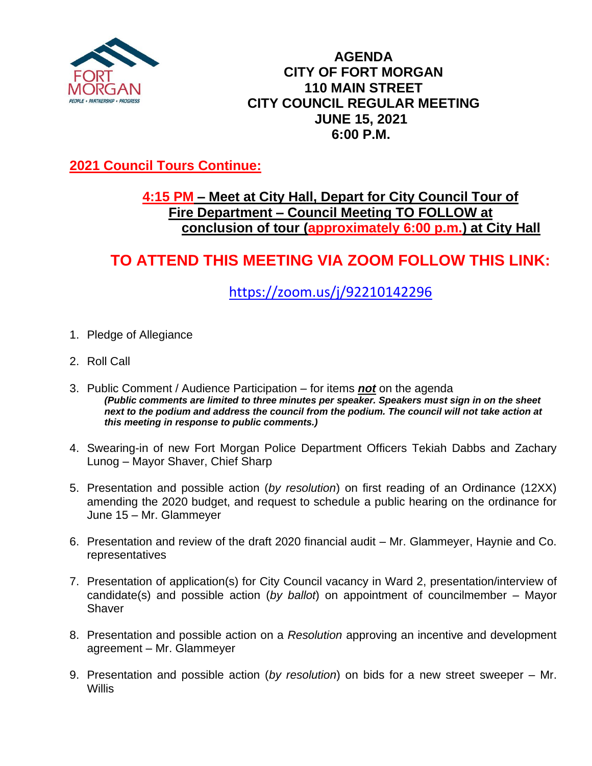

### **AGENDA CITY OF FORT MORGAN 110 MAIN STREET CITY COUNCIL REGULAR MEETING JUNE 15, 2021 6:00 P.M.**

## **2021 Council Tours Continue:**

## **4:15 PM – Meet at City Hall, Depart for City Council Tour of Fire Department – Council Meeting TO FOLLOW at conclusion of tour (approximately 6:00 p.m.) at City Hall**

# **TO ATTEND THIS MEETING VIA ZOOM FOLLOW THIS LINK:**

# <https://zoom.us/j/92210142296>

- 1. Pledge of Allegiance
- 2. Roll Call
- 3. Public Comment / Audience Participation for items *not* on the agenda *(Public comments are limited to three minutes per speaker. Speakers must sign in on the sheet*  next to the podium and address the council from the podium. The council will not take action at *this meeting in response to public comments.)*
- 4. Swearing-in of new Fort Morgan Police Department Officers Tekiah Dabbs and Zachary Lunog – Mayor Shaver, Chief Sharp
- 5. Presentation and possible action (*by resolution*) on first reading of an Ordinance (12XX) amending the 2020 budget, and request to schedule a public hearing on the ordinance for June 15 – Mr. Glammeyer
- 6. Presentation and review of the draft 2020 financial audit Mr. Glammeyer, Haynie and Co. representatives
- 7. Presentation of application(s) for City Council vacancy in Ward 2, presentation/interview of candidate(s) and possible action (*by ballot*) on appointment of councilmember – Mayor **Shaver**
- 8. Presentation and possible action on a *Resolution* approving an incentive and development agreement – Mr. Glammeyer
- 9. Presentation and possible action (*by resolution*) on bids for a new street sweeper Mr. **Willis**